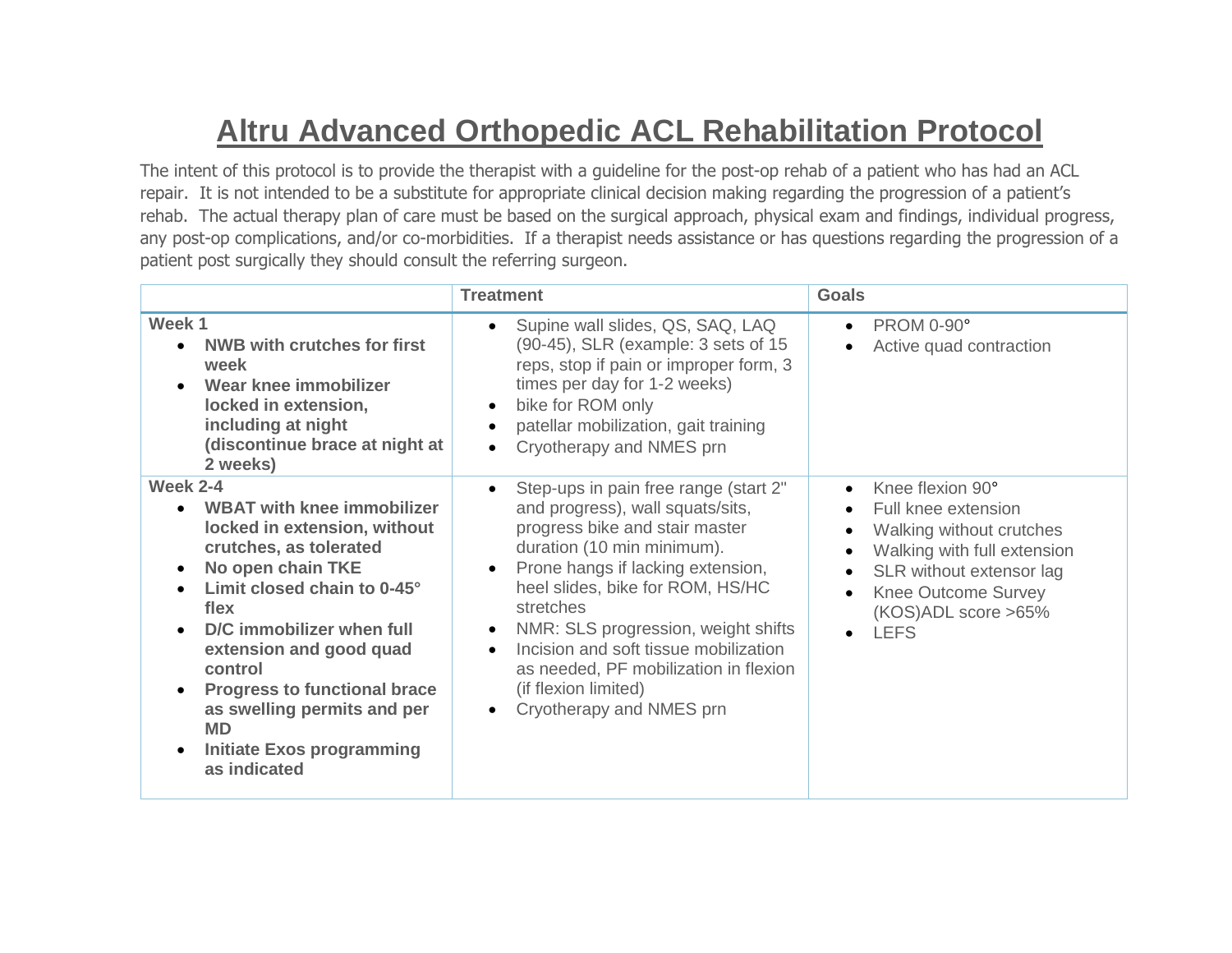## **Altru Advanced Orthopedic ACL Rehabilitation Protocol**

The intent of this protocol is to provide the therapist with a guideline for the post-op rehab of a patient who has had an ACL repair. It is not intended to be a substitute for appropriate clinical decision making regarding the progression of a patient's rehab. The actual therapy plan of care must be based on the surgical approach, physical exam and findings, individual progress, any post-op complications, and/or co-morbidities. If a therapist needs assistance or has questions regarding the progression of a patient post surgically they should consult the referring surgeon.

|                                                                                                                                                                                                                                                                                                                                                                                      | <b>Treatment</b>                                                                                                                                                                                                                                                                                                                                                                                                                       | <b>Goals</b>                                                                                                                                                                                                                                                        |
|--------------------------------------------------------------------------------------------------------------------------------------------------------------------------------------------------------------------------------------------------------------------------------------------------------------------------------------------------------------------------------------|----------------------------------------------------------------------------------------------------------------------------------------------------------------------------------------------------------------------------------------------------------------------------------------------------------------------------------------------------------------------------------------------------------------------------------------|---------------------------------------------------------------------------------------------------------------------------------------------------------------------------------------------------------------------------------------------------------------------|
| Week 1<br><b>NWB with crutches for first</b><br>week<br>Wear knee immobilizer<br>locked in extension,<br>including at night<br>(discontinue brace at night at<br>2 weeks)                                                                                                                                                                                                            | Supine wall slides, QS, SAQ, LAQ<br>$\bullet$<br>(90-45), SLR (example: 3 sets of 15<br>reps, stop if pain or improper form, 3<br>times per day for 1-2 weeks)<br>bike for ROM only<br>$\bullet$<br>patellar mobilization, gait training<br>$\bullet$<br>Cryotherapy and NMES prn                                                                                                                                                      | <b>PROM 0-90°</b><br>$\bullet$<br>Active quad contraction                                                                                                                                                                                                           |
| <b>Week 2-4</b><br><b>WBAT with knee immobilizer</b><br>locked in extension, without<br>crutches, as tolerated<br>No open chain TKE<br>Limit closed chain to 0-45°<br>flex<br>D/C immobilizer when full<br>extension and good quad<br>control<br><b>Progress to functional brace</b><br>as swelling permits and per<br><b>MD</b><br><b>Initiate Exos programming</b><br>as indicated | Step-ups in pain free range (start 2"<br>and progress), wall squats/sits,<br>progress bike and stair master<br>duration (10 min minimum).<br>Prone hangs if lacking extension,<br>$\bullet$<br>heel slides, bike for ROM, HS/HC<br>stretches<br>NMR: SLS progression, weight shifts<br>$\bullet$<br>Incision and soft tissue mobilization<br>as needed, PF mobilization in flexion<br>(if flexion limited)<br>Cryotherapy and NMES prn | Knee flexion 90°<br>$\bullet$<br>Full knee extension<br>$\bullet$<br>Walking without crutches<br>$\bullet$<br>Walking with full extension<br>$\bullet$<br>SLR without extensor lag<br><b>Knee Outcome Survey</b><br>(KOS)ADL score >65%<br><b>LEFS</b><br>$\bullet$ |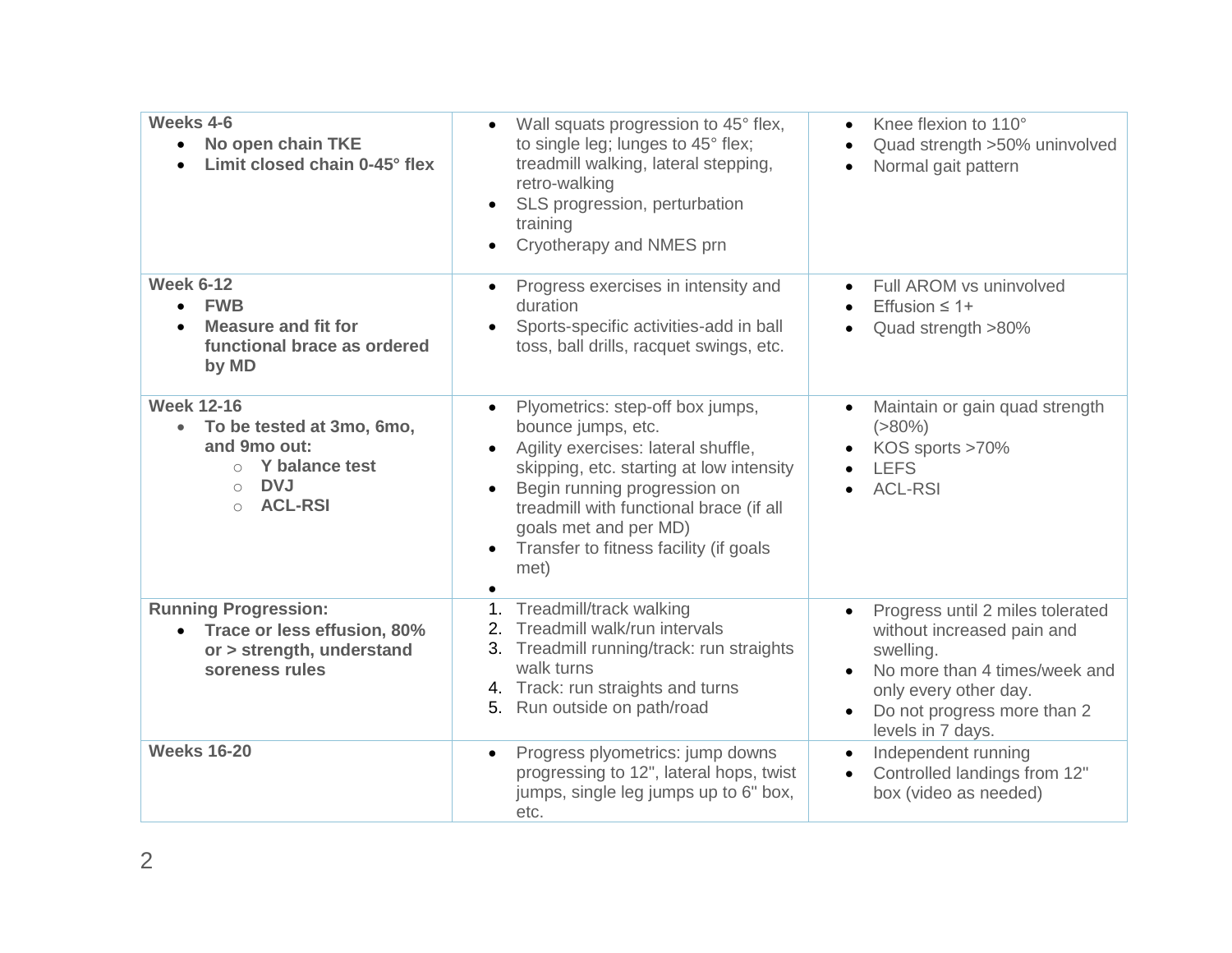| Weeks 4-6<br>No open chain TKE<br>$\bullet$<br>Limit closed chain 0-45° flex                                                                                      | Wall squats progression to 45° flex,<br>$\bullet$<br>to single leg; lunges to 45° flex;<br>treadmill walking, lateral stepping,<br>retro-walking<br>SLS progression, perturbation<br>$\bullet$<br>training<br>Cryotherapy and NMES prn                                                                                                              | Knee flexion to 110°<br>$\bullet$<br>Quad strength >50% uninvolved<br>$\bullet$<br>Normal gait pattern<br>$\bullet$                                                                       |
|-------------------------------------------------------------------------------------------------------------------------------------------------------------------|-----------------------------------------------------------------------------------------------------------------------------------------------------------------------------------------------------------------------------------------------------------------------------------------------------------------------------------------------------|-------------------------------------------------------------------------------------------------------------------------------------------------------------------------------------------|
| <b>Week 6-12</b><br><b>FWB</b><br><b>Measure and fit for</b><br>functional brace as ordered<br>by MD                                                              | Progress exercises in intensity and<br>$\bullet$<br>duration<br>Sports-specific activities-add in ball<br>toss, ball drills, racquet swings, etc.                                                                                                                                                                                                   | Full AROM vs uninvolved<br>$\bullet$<br>Effusion $\leq 1+$<br>Quad strength >80%                                                                                                          |
| <b>Week 12-16</b><br>To be tested at 3mo, 6mo,<br>$\bullet$<br>and 9mo out:<br>$\circ$ Y balance test<br><b>DVJ</b><br>$\bigcirc$<br><b>ACL-RSI</b><br>$\bigcirc$ | Plyometrics: step-off box jumps,<br>$\bullet$<br>bounce jumps, etc.<br>Agility exercises: lateral shuffle,<br>$\bullet$<br>skipping, etc. starting at low intensity<br>Begin running progression on<br>treadmill with functional brace (if all<br>goals met and per MD)<br>Transfer to fitness facility (if goals<br>$\bullet$<br>met)<br>$\bullet$ | Maintain or gain quad strength<br>$( > 80\%)$<br>KOS sports >70%<br><b>LEFS</b><br><b>ACL-RSI</b>                                                                                         |
| <b>Running Progression:</b><br>• Trace or less effusion, 80%<br>or > strength, understand<br>soreness rules                                                       | 1. Treadmill/track walking<br>2. Treadmill walk/run intervals<br>3. Treadmill running/track: run straights<br>walk turns<br>4. Track: run straights and turns<br>5. Run outside on path/road                                                                                                                                                        | Progress until 2 miles tolerated<br>without increased pain and<br>swelling.<br>No more than 4 times/week and<br>only every other day.<br>Do not progress more than 2<br>levels in 7 days. |
| <b>Weeks 16-20</b>                                                                                                                                                | Progress plyometrics: jump downs<br>$\bullet$<br>progressing to 12", lateral hops, twist<br>jumps, single leg jumps up to 6" box,<br>etc.                                                                                                                                                                                                           | Independent running<br>$\bullet$<br>Controlled landings from 12"<br>$\bullet$<br>box (video as needed)                                                                                    |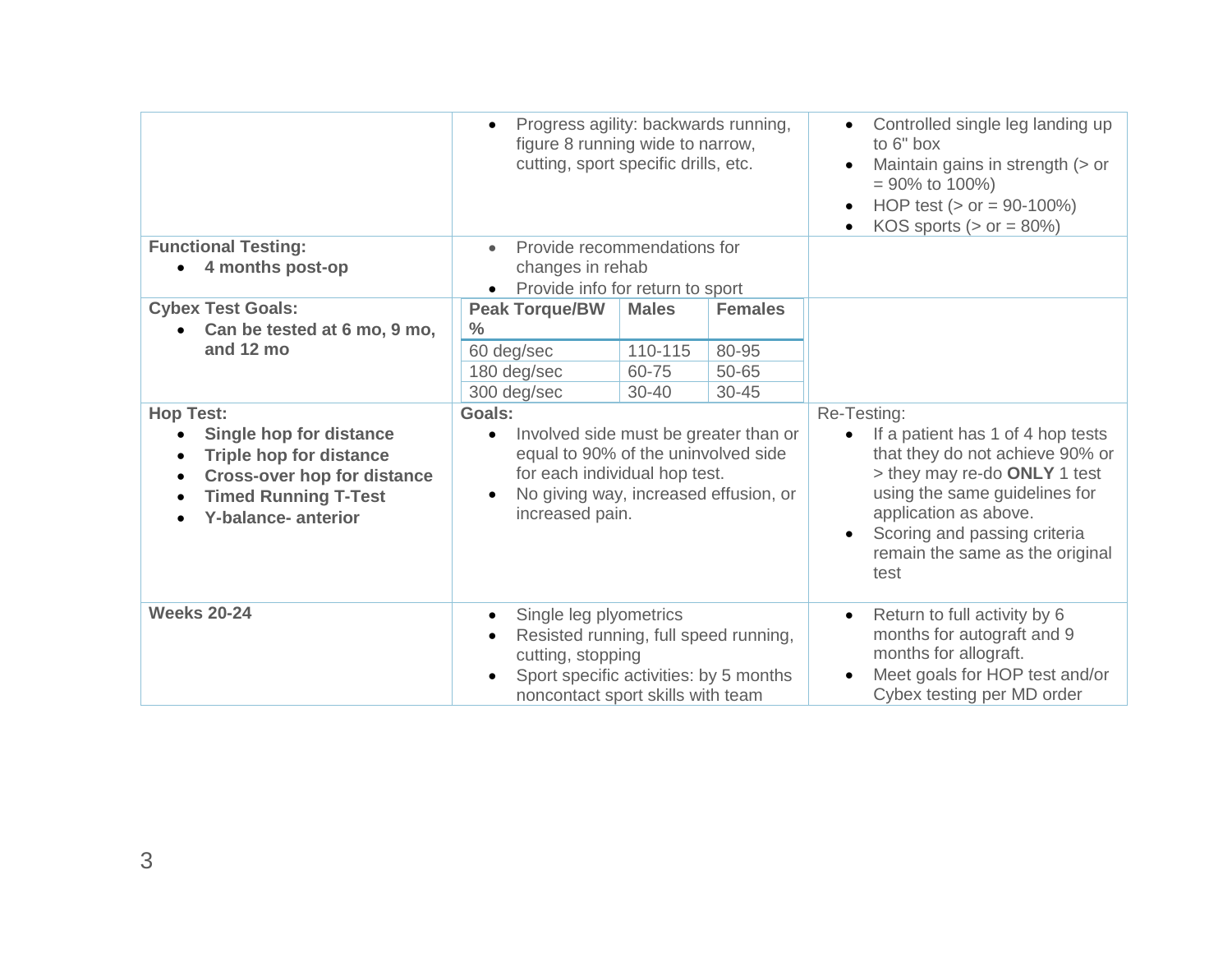|                                                                                                                                                                                                                               | Progress agility: backwards running,<br>$\bullet$<br>figure 8 running wide to narrow,<br>cutting, sport specific drills, etc.                                                                                 |              |                                                                                                                                                                                                                                                          | Controlled single leg landing up<br>to 6" box<br>Maintain gains in strength (> or<br>$= 90\%$ to 100%)<br>HOP test ( $>$ or = 90-100%)<br>KOS sports ( $>$ or = 80%) |
|-------------------------------------------------------------------------------------------------------------------------------------------------------------------------------------------------------------------------------|---------------------------------------------------------------------------------------------------------------------------------------------------------------------------------------------------------------|--------------|----------------------------------------------------------------------------------------------------------------------------------------------------------------------------------------------------------------------------------------------------------|----------------------------------------------------------------------------------------------------------------------------------------------------------------------|
| <b>Functional Testing:</b>                                                                                                                                                                                                    | Provide recommendations for<br>$\bullet$                                                                                                                                                                      |              |                                                                                                                                                                                                                                                          |                                                                                                                                                                      |
| 4 months post-op                                                                                                                                                                                                              | changes in rehab<br>Provide info for return to sport<br>$\bullet$                                                                                                                                             |              |                                                                                                                                                                                                                                                          |                                                                                                                                                                      |
|                                                                                                                                                                                                                               |                                                                                                                                                                                                               |              |                                                                                                                                                                                                                                                          |                                                                                                                                                                      |
| <b>Cybex Test Goals:</b>                                                                                                                                                                                                      | <b>Peak Torque/BW</b>                                                                                                                                                                                         | <b>Males</b> | <b>Females</b>                                                                                                                                                                                                                                           |                                                                                                                                                                      |
| Can be tested at 6 mo, 9 mo,<br>$\bullet$                                                                                                                                                                                     | $\frac{0}{0}$                                                                                                                                                                                                 |              |                                                                                                                                                                                                                                                          |                                                                                                                                                                      |
| and 12 mo                                                                                                                                                                                                                     | 60 deg/sec                                                                                                                                                                                                    | 110-115      | 80-95                                                                                                                                                                                                                                                    |                                                                                                                                                                      |
|                                                                                                                                                                                                                               | 180 deg/sec                                                                                                                                                                                                   | 60-75        | 50-65                                                                                                                                                                                                                                                    |                                                                                                                                                                      |
|                                                                                                                                                                                                                               | 300 deg/sec                                                                                                                                                                                                   | $30 - 40$    | $30 - 45$                                                                                                                                                                                                                                                |                                                                                                                                                                      |
| <b>Hop Test:</b><br><b>Single hop for distance</b><br><b>Triple hop for distance</b><br>$\bullet$<br><b>Cross-over hop for distance</b><br>$\bullet$<br><b>Timed Running T-Test</b><br>$\bullet$<br><b>Y-balance-anterior</b> | Goals:<br>Involved side must be greater than or<br>$\bullet$<br>equal to 90% of the uninvolved side<br>for each individual hop test.<br>No giving way, increased effusion, or<br>$\bullet$<br>increased pain. |              | Re-Testing:<br>If a patient has 1 of 4 hop tests<br>that they do not achieve 90% or<br>> they may re-do ONLY 1 test<br>using the same guidelines for<br>application as above.<br>Scoring and passing criteria<br>remain the same as the original<br>test |                                                                                                                                                                      |
| <b>Weeks 20-24</b>                                                                                                                                                                                                            | Single leg plyometrics<br>$\bullet$<br>Resisted running, full speed running,<br>cutting, stopping<br>Sport specific activities: by 5 months<br>noncontact sport skills with team                              |              | Return to full activity by 6<br>$\bullet$<br>months for autograft and 9<br>months for allograft.<br>Meet goals for HOP test and/or<br>Cybex testing per MD order                                                                                         |                                                                                                                                                                      |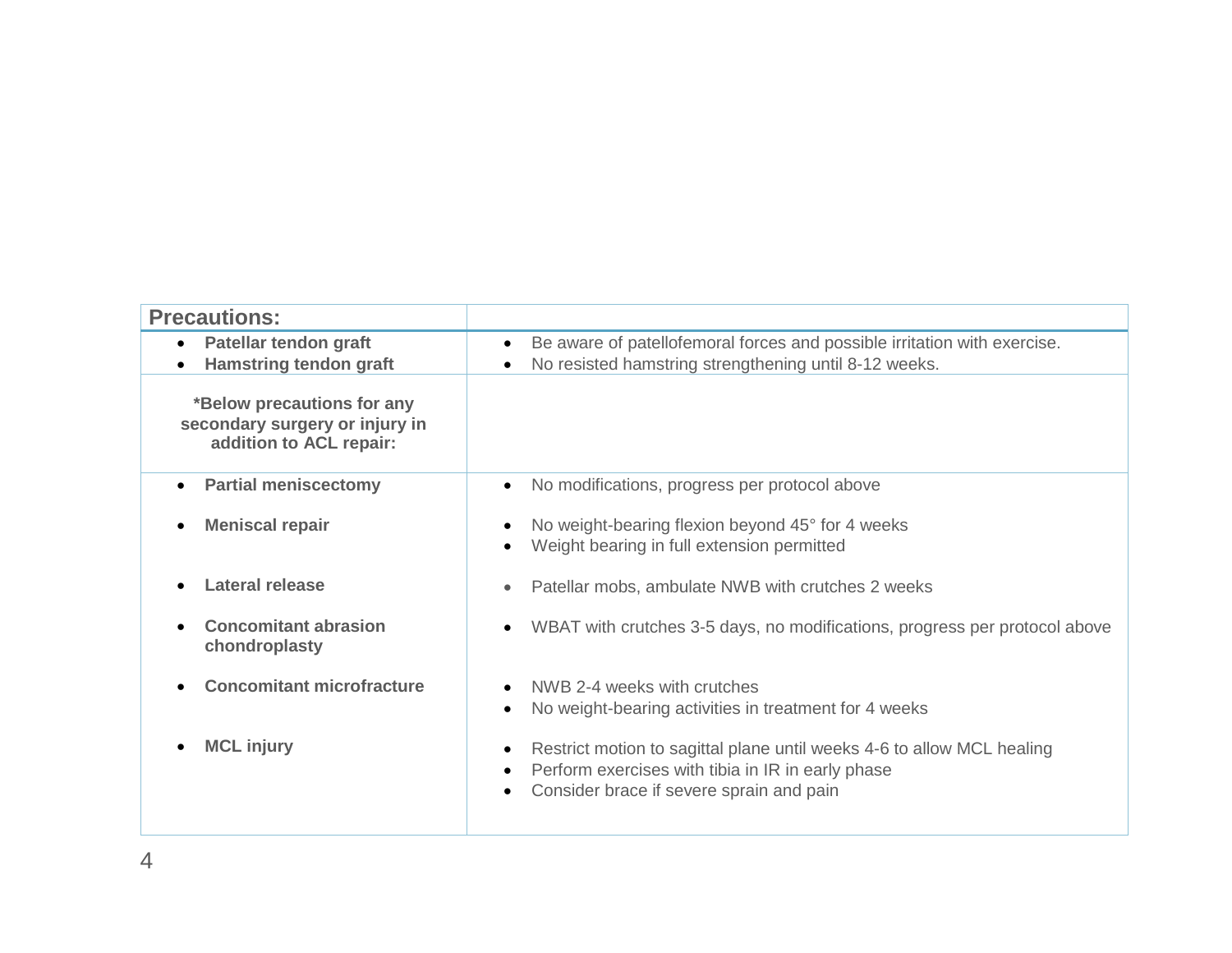| <b>Precautions:</b>                                                                     |                                                                                                                                                                         |
|-----------------------------------------------------------------------------------------|-------------------------------------------------------------------------------------------------------------------------------------------------------------------------|
| Patellar tendon graft<br>$\bullet$<br><b>Hamstring tendon graft</b>                     | Be aware of patellofemoral forces and possible irritation with exercise.<br>No resisted hamstring strengthening until 8-12 weeks.                                       |
| *Below precautions for any<br>secondary surgery or injury in<br>addition to ACL repair: |                                                                                                                                                                         |
| <b>Partial meniscectomy</b>                                                             | No modifications, progress per protocol above                                                                                                                           |
| <b>Meniscal repair</b>                                                                  | No weight-bearing flexion beyond 45° for 4 weeks<br>Weight bearing in full extension permitted                                                                          |
| <b>Lateral release</b>                                                                  | Patellar mobs, ambulate NWB with crutches 2 weeks                                                                                                                       |
| <b>Concomitant abrasion</b><br>chondroplasty                                            | WBAT with crutches 3-5 days, no modifications, progress per protocol above                                                                                              |
| <b>Concomitant microfracture</b>                                                        | NWB 2-4 weeks with crutches<br>No weight-bearing activities in treatment for 4 weeks                                                                                    |
| <b>MCL injury</b>                                                                       | Restrict motion to sagittal plane until weeks 4-6 to allow MCL healing<br>Perform exercises with tibia in IR in early phase<br>Consider brace if severe sprain and pain |